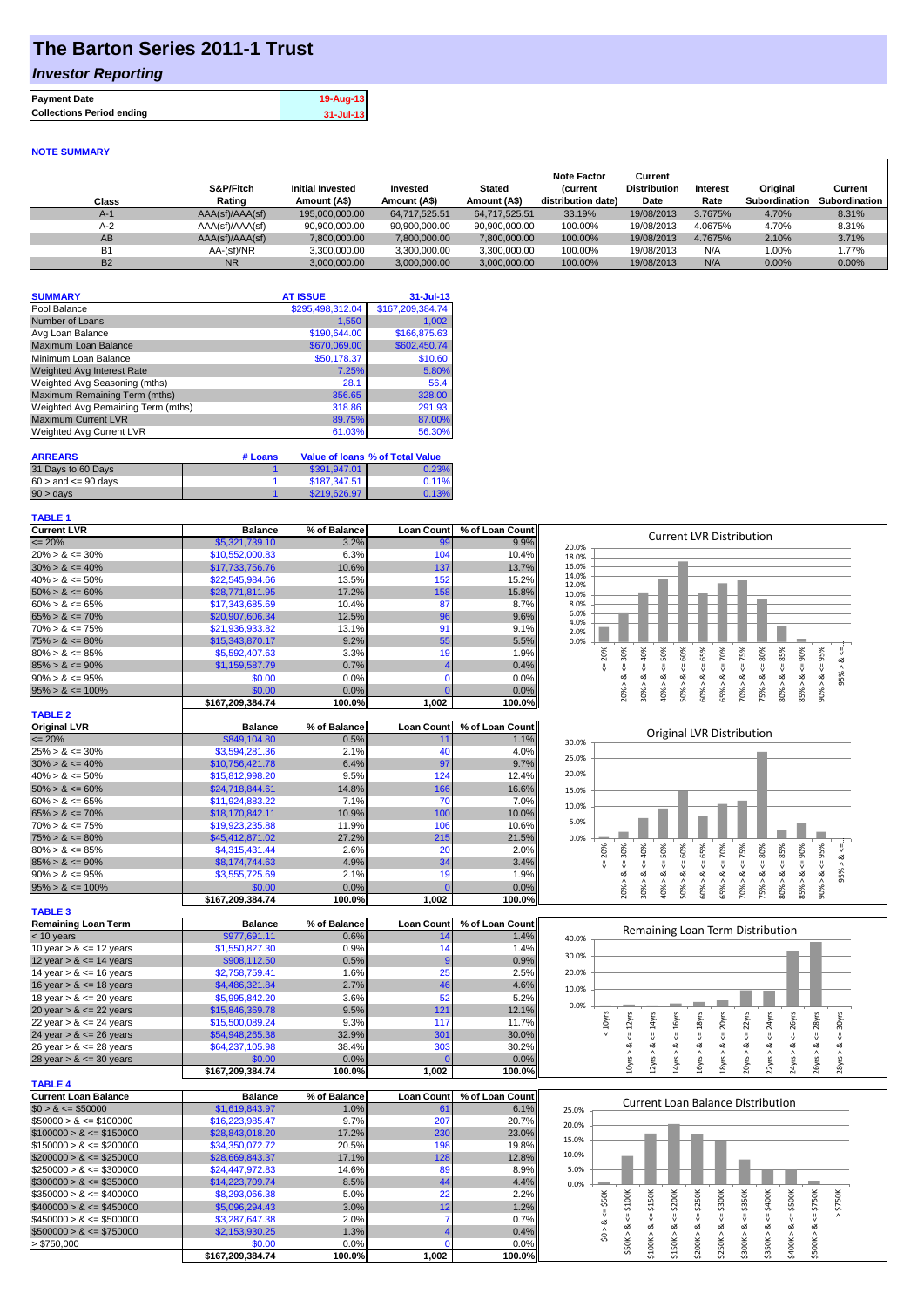# **The Barton Series 2011-1 Trust**

## *Investor Reporting*

| 19-Aug-13 | <b>Payment Date</b>              |
|-----------|----------------------------------|
| 31-Jul-13 | <b>Collections Period ending</b> |
|           |                                  |

#### **NOTE SUMMARY**

| Class          | S&P/Fitch<br>Rating | <b>Initial Invested</b><br>Amount (A\$) | Invested<br>Amount (A\$) | <b>Stated</b><br>Amount (A\$) | <b>Note Factor</b><br><b>Current</b><br>distribution date) | Current<br><b>Distribution</b><br>Date | <b>Interest</b><br>Rate | Original<br>Subordination | Current<br><b>Subordination</b> |
|----------------|---------------------|-----------------------------------------|--------------------------|-------------------------------|------------------------------------------------------------|----------------------------------------|-------------------------|---------------------------|---------------------------------|
| $A-1$          | AAA(sf)/AAA(sf)     | 195,000,000,00                          | 64.717.525.51            | 64.717.525.51                 | 33.19%                                                     | 19/08/2013                             | 3.7675%                 | 4.70%                     | 8.31%                           |
| $A-2$          | AAA(sf)/AAA(sf)     | 90,900,000.00                           | 90,900,000.00            | 90,900,000.00                 | 100.00%                                                    | 19/08/2013                             | 4.0675%                 | 4.70%                     | 8.31%                           |
| AB             | AAA(sf)/AAA(sf)     | 7,800,000.00                            | 7,800,000.00             | 7,800,000.00                  | 100.00%                                                    | 19/08/2013                             | 4.7675%                 | 2.10%                     | 3.71%                           |
| B <sub>1</sub> | AA-(sf)/NR          | 3.300.000.00                            | 3.300.000.00             | 3.300.000.00                  | 100.00%                                                    | 19/08/2013                             | N/A                     | 1.00%                     | 1.77%                           |
| <b>B2</b>      | <b>NR</b>           | 3.000.000.00                            | 3.000.000.00             | 3.000.000.00                  | 100.00%                                                    | 19/08/2013                             | N/A                     | $0.00\%$                  | $0.00\%$                        |

| <b>SUMMARY</b>                     | <b>AT ISSUE</b>  | $31 -$ Jul-13    |
|------------------------------------|------------------|------------------|
| Pool Balance                       | \$295,498,312.04 | \$167,209,384.74 |
| Number of Loans                    | 1,550            | 1,002            |
| Avg Loan Balance                   | \$190,644.00     | \$166,875.63     |
| Maximum Loan Balance               | \$670,069.00     | \$602,450.74     |
| Minimum Loan Balance               | \$50,178.37      | \$10.60          |
| Weighted Avg Interest Rate         | 7.25%            | 5.80%            |
| Weighted Avg Seasoning (mths)      | 28.1             | 56.4             |
| Maximum Remaining Term (mths)      | 356.65           | 328.00           |
| Weighted Avg Remaining Term (mths) | 318.86           | 291.93           |
| <b>Maximum Current LVR</b>         | 89.75%           | 87.00%           |
| Weighted Avg Current LVR           | 61.03%           | 56.30%           |

| <b>ARREARS</b>            | # Loans |              | Value of Ioans % of Total Value |
|---------------------------|---------|--------------|---------------------------------|
| 31 Days to 60 Days        |         | \$391.947.01 | 0.23%                           |
| $60 >$ and $\leq 90$ days |         | \$187.347.51 | 0.11%                           |
| $90 > \text{days}$        |         | \$219,626.97 | 0.13%                           |

### **TABLE 1**

| <u>IADLL I</u>              |                  |              |                   |                            |                                                                                                                                                                                |
|-----------------------------|------------------|--------------|-------------------|----------------------------|--------------------------------------------------------------------------------------------------------------------------------------------------------------------------------|
| <b>Current LVR</b>          | <b>Balance</b>   | % of Balance | <b>Loan Count</b> | % of Loan Count            | <b>Current LVR Distribution</b>                                                                                                                                                |
| $\leq$ 20%                  | \$5,321,739.10   | 3.2%         | 99                | 9.9%                       | 20.0%                                                                                                                                                                          |
| $20\% > 8 \le 30\%$         | \$10,552,000.83  | 6.3%         | 104               | 10.4%                      | 18.0%                                                                                                                                                                          |
| $30\% > 8 \le 40\%$         | \$17,733,756.76  | 10.6%        | 137               | 13.7%                      | 16.0%                                                                                                                                                                          |
| $40\% > 8 \le 50\%$         | \$22,545,984.66  | 13.5%        | 152               | 15.2%                      | 14.0%<br>12.0%                                                                                                                                                                 |
| $50\% > 8 \le 60\%$         | \$28,771,811.95  | 17.2%        | 158               | 15.8%                      | 10.0%                                                                                                                                                                          |
| $60\% > 8 \le 65\%$         | \$17,343,685.69  | 10.4%        | 87                | 8.7%                       | 8.0%                                                                                                                                                                           |
| $65\% > 8 \le 70\%$         | \$20,907,606.34  | 12.5%        | 96                | 9.6%                       | 6.0%<br>4.0%                                                                                                                                                                   |
| $70\% > 8 \le 75\%$         | \$21,936,933.82  | 13.1%        | 91                | 9.1%                       | 2.0%                                                                                                                                                                           |
| $75\% > 8 \le 80\%$         | \$15,343,870.17  | 9.2%         | 55                | 5.5%                       | 0.0%                                                                                                                                                                           |
| $80\% > 8 \le 85\%$         | \$5,592,407.63   | 3.3%         | 19                | 1.9%                       | 30%<br>65%<br>75%<br>80%<br>85%<br>20%<br>40%<br>50%<br>60%<br>70%<br>90%<br>95%<br>ઌ                                                                                          |
| $85\% > 8 \le 90\%$         | \$1,159,587.79   | 0.7%         |                   | 0.4%                       | V<br>IJ,<br>Ű.<br>₩<br>٨                                                                                                                                                       |
| $90\% > 8 \le 95\%$         | \$0.00           | 0.0%         | $\mathcal{C}$     | 0.0%                       | 95%<br>ಹ<br>ಷ<br>ವ<br>ವ<br>ಹ<br>ಹ<br>ಹ<br>ಹ<br>ಹ<br>ಹ<br>ಹ<br>٨<br>$\wedge$<br>$\wedge$<br>$\wedge$<br>٨<br>$\wedge$<br>$\wedge$<br>$\wedge$                                   |
| $95\% > 8 \le 100\%$        | \$0.00           | 0.0%         | $\Omega$          | 0.0%                       | 80% ><br>85% ><br>60%<br>70%<br>90%<br>75%<br>40%<br>50%<br>65%<br>20%<br>O%                                                                                                   |
|                             | \$167,209,384.74 | 100.0%       | 1,002             | 100.0%                     |                                                                                                                                                                                |
| <b>TABLE 2</b>              |                  |              |                   |                            |                                                                                                                                                                                |
| <b>Original LVR</b>         | <b>Balance</b>   | % of Balance | <b>Loan Count</b> | % of Loan Count            | Original LVR Distribution                                                                                                                                                      |
| $= 20%$                     | \$849.104.80     | 0.5%         | 11                | 1.1%                       | 30.0%                                                                                                                                                                          |
| $25\% > 8 \le 30\%$         | \$3,594,281.36   | 2.1%         | 40                | 4.0%                       | 25.0%                                                                                                                                                                          |
| $30\% > 8 \le 40\%$         | \$10,756,421.78  | 6.4%         | 97                | 9.7%                       |                                                                                                                                                                                |
| $40\% > 8 \le 50\%$         | \$15,812,998.20  | 9.5%         | 124               | 12.4%                      | 20.0%                                                                                                                                                                          |
| $50\% > 8 \le 60\%$         | \$24,718,844.61  | 14.8%        | 166               | 16.6%                      | 15.0%                                                                                                                                                                          |
| $60\% > 8 \le 65\%$         | \$11,924,883.22  | 7.1%         | 70                | 7.0%                       | 10.0%                                                                                                                                                                          |
| $65\% > 8 \le 70\%$         | \$18,170,842.11  | 10.9%        | 100               | 10.0%                      |                                                                                                                                                                                |
| $70\% > 8 \le 75\%$         | \$19,923,235.88  | 11.9%        | 106               | 10.6%                      | 5.0%                                                                                                                                                                           |
| $75\% > 8 \le 80\%$         | \$45,412,871.02  | 27.2%        | 215               | 21.5%                      | 0.0%                                                                                                                                                                           |
| $80\% > 8 \le 85\%$         | \$4,315,431.44   | 2.6%         | 20                | 2.0%                       | 30%<br>50%<br>60%<br>65%<br>75%<br>80%<br>85%<br>90%<br>95%<br>20%<br>40%<br>70%<br>ಂಶ                                                                                         |
| $85\% > 8 \le 90\%$         | \$8,174,744.63   | 4.9%         | 34                | 3.4%                       | IJ<br>V<br>IJ.<br>IJ<br>IJ<br>V<br>IJ,                                                                                                                                         |
| $90\% > 8 \le 95\%$         | \$3,555,725.69   | 2.1%         | 19                | 1.9%                       | $85% > 8 < =$<br>95%<br>$\frac{8}{1}$<br>60% > 8<br>$90\% > 8.$<br>$\frac{8}{1}$<br>70% > 8.<br>80% > 8<br>ಹ<br>ಹ<br>ಂಶ<br>ಂಶ<br>$\Lambda$<br>$\wedge$<br>$\wedge$<br>$\wedge$ |
| $95\% > 8 \le 100\%$        | \$0.00           | 0.0%         |                   | 0.0%                       | 40%<br>75%<br>20%<br>30%<br>50%<br>65%                                                                                                                                         |
|                             | \$167,209,384.74 | 100.0%       | 1.002             | 100.0%                     |                                                                                                                                                                                |
| <b>TABLE 3</b>              |                  |              |                   |                            |                                                                                                                                                                                |
| <b>Remaining Loan Term</b>  | <b>Balance</b>   | % of Balance | <b>Loan Count</b> | % of Loan Count            | Remaining Loan Term Distribution                                                                                                                                               |
| < 10 years                  | \$977,691.11     | 0.6%         | 14                | 1.4%                       | 40.0%                                                                                                                                                                          |
| 10 year $> 8 \le 12$ years  | \$1,550,827.30   | 0.9%         | 14                | 1.4%                       | 30.0%                                                                                                                                                                          |
| 12 year $> 8 \le 14$ years  | \$908,112.50     | 0.5%         |                   | 0.9%                       |                                                                                                                                                                                |
| 14 year $> 8 \le 16$ years  | \$2,758,759.41   | 1.6%         | 25                | 2.5%                       | 20.0%                                                                                                                                                                          |
| 16 year $> 8 \le 18$ years  | \$4,486,321.84   | 2.7%         | 46                | 4.6%                       | 10.0%                                                                                                                                                                          |
| 18 year $> 8 \le 20$ years  | \$5,995,842.20   | 3.6%         | 52                | 5.2%                       | 0.0%                                                                                                                                                                           |
| 20 year $> 8 \le 22$ years  | \$15,846,369.78  | 9.5%         | 121               | 12.1%                      |                                                                                                                                                                                |
| 22 year $> 8 < 24$ years    | \$15,500,089.24  | 9.3%         | 117               | 11.7%                      | 24yrs<br>28yrs<br>20yrs<br>$22$ yrs<br>26yrs<br>10yrs<br>$\epsilon$ = 12 $\gamma$ rs<br>$\leq 14$ yrs<br>16yrs<br>18yrs<br>30yrs                                               |
| 24 year $> 8 \le 26$ years  | \$54,948,265.38  | 32.9%        | 301               | 30.0%                      | V<br>IJ<br>V<br>V<br>IJ,                                                                                                                                                       |
| 26 year $> 8 < 28$ years    | \$64,237,105.98  | 38.4%        | 303               | 30.2%                      | ಷ<br>œ<br>ઌ<br>ಷ<br>ಹ<br>ø<br>ಹ<br>ઌ<br>œ<br>ಹ<br>٨                                                                                                                            |
| 28 year $> 8 \le 30$ years  | \$0.00           | 0.0%         | 0                 | 0.0%                       | 24yrs ><br>26yrs ><br>28yrs ><br>12yrs<br>14yrs<br>16yrs<br>20yrs<br>22yrs<br>10yrs<br>18yrs                                                                                   |
|                             | \$167,209,384.74 | 100.0%       | 1.002             | 100.0%                     |                                                                                                                                                                                |
| <b>TABLE 4</b>              |                  |              |                   |                            |                                                                                                                                                                                |
| <b>Current Loan Balance</b> | <b>Balance</b>   | % of Balance |                   | Loan Count % of Loan Count |                                                                                                                                                                                |

| <b>Current Loan Balance</b> | <b>Balance</b>   | % of Balance | <b>Loan Count</b> | % of Loan Count |       |
|-----------------------------|------------------|--------------|-------------------|-----------------|-------|
| $$0 > 8 \leq $50000$        | \$1,619,843.97   | 1.0%         | 61                | 6.1%            | 25.0% |
| $$50000 > 8 \leq $100000$   | \$16,223,985.47  | 9.7%         | 207               | 20.7%           | 20.0% |
| $$100000 > 8 \leq $150000$  | \$28,843,018.20  | 17.2%        | 230               | 23.0%           |       |
| $$150000 > 8 \leq $200000$  | \$34,350,072.72  | 20.5%        | 198               | 19.8%           | 15.0% |
| $$200000 > 8 \leq $250000$  | \$28,669,843.37  | 17.1%        | 128               | 12.8%           | 10.0% |
| $$250000 > 8 \leq $300000$  | \$24,447,972.83  | 14.6%        | 89                | 8.9%            | 5.0%  |
| $$300000 > 8 \leq $350000$  | \$14,223,709,74  | 8.5%         | 44                | 4.4%            | 0.0%  |
| $$350000 > 8 \leq $400000$  | \$8,293,066.38   | 5.0%         | 22                | 2.2%            |       |
| $$400000 > 8 \leq $450000$  | \$5,096,294.43   | 3.0%         | 12                | 1.2%            |       |
| $$450000 > 8 \leq $500000$  | \$3,287,647.38   | 2.0%         |                   | 0.7%            |       |
| $$500000 > 8 \leq $750000$  | \$2.153,930.25   | 1.3%         |                   | 0.4%            |       |
| > \$750.000                 | \$0.00           | 0.0%         |                   | 0.0%            |       |
|                             | \$167.209.384.74 | 100.0%       | 1,002             | 100.0%l         |       |